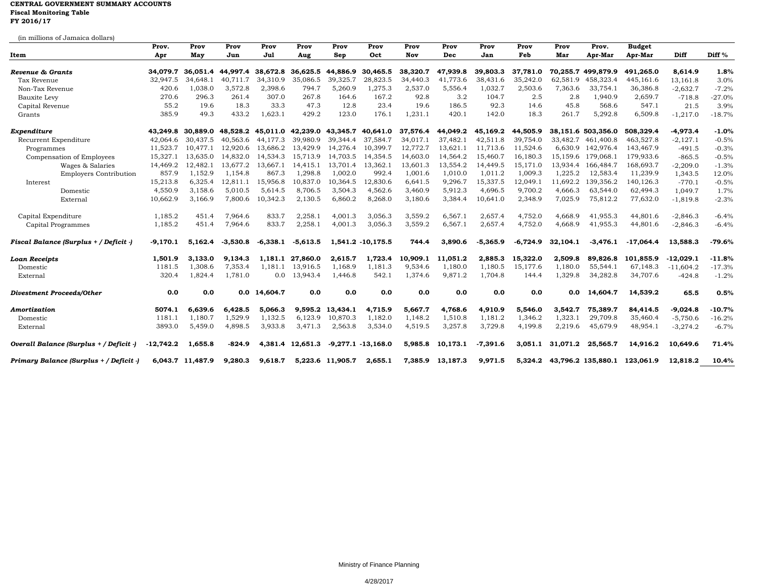## **CENTRAL GOVERNMENT SUMMARY ACCOUNTS Fiscal Monitoring Table FY 2016/17**

| Item                                    | Prov.<br>Apr | Prov<br>May      | Prov<br>Jun | Prov<br>Jul  | Prov<br>Aug       | Prov<br>Sep      | Prov<br>Oct           | Prov<br>Nov | Prov<br>Dec      | Prov<br>Jan | Prov<br>Feb | Prov<br>Mar | Prov.<br>Apr-Mar   | <b>Budget</b><br>Apr-Mar | Diff        | Diff %   |
|-----------------------------------------|--------------|------------------|-------------|--------------|-------------------|------------------|-----------------------|-------------|------------------|-------------|-------------|-------------|--------------------|--------------------------|-------------|----------|
|                                         |              |                  |             |              |                   |                  |                       |             |                  |             |             |             |                    |                          |             |          |
| Tax Revenue                             | 32,947.5     | 34,648.1         | 40,711.7    | 34,310.9     | 35,086.5          | 39,325.7         | 28,823.5              | 34,440.3    | 41,773.6         | 38,431.6    | 35,242.0    | 62,581.9    | 458,323.4          | 445,161.6                | 13,161.8    | 3.0%     |
| Non-Tax Revenue                         | 420.6        | 1,038.0          | 3,572.8     | 2,398.6      | 794.7             | 5,260.9          | 1,275.3               | 2,537.0     | 5,556.4          | 1,032.7     | 2,503.6     | 7,363.6     | 33,754.1           | 36,386.8                 | $-2,632.7$  | $-7.2%$  |
| <b>Bauxite Levy</b>                     | 270.6        | 296.3            | 261.4       | 307.0        | 267.8             | 164.6            | 167.2                 | 92.8        | 3.2              | 104.7       | 2.5         | 2.8         | 1,940.9            | 2,659.7                  | $-718.8$    | $-27.0%$ |
| Capital Revenue                         | 55.2         | 19.6             | 18.3        | 33.3         | 47.3              | 12.8             | 23.4                  | 19.6        | 186.5            | 92.3        | 14.6        | 45.8        | 568.6              | 547.1                    | 21.5        | 3.9%     |
| Grants                                  | 385.9        | 49.3             | 433.2       | 1,623.1      | 429.2             | 123.0            | 176.1                 | 1,231.1     | 420.1            | 142.0       | 18.3        | 261.7       | 5,292.8            | 6,509.8                  | $-1,217.0$  | $-18.7%$ |
| Expenditure                             | 43.249.8     | 30.889.0         | 48.528.2    |              | 45,011.0 42,239.0 | 43,345.7         | 40,641.0              | 37,576.4    | 44.049.2         | 45,169.2    | 44,505.9    |             | 38,151.6 503,356.0 | 508.329.4                | $-4,973.4$  | $-1.0%$  |
| Recurrent Expenditure                   | 42.064.6     | 30.437.5         | 40.563.6    | 44.177.3     | 39,980.9          | 39,344.4         | 37,584.7              | 34,017.1    | 37,482.1         | 42,511.8    | 39,754.0    | 33,482.7    | 461,400.8          | 463,527.8                | $-2,127.1$  | $-0.5%$  |
| Programmes                              | 11,523.7     | 10.477.1         | 12,920.6    | 13.686.2     | 13,429.9          | 14,276.4         | 10,399.7              | 12,772.7    | 13,621.1         | 11,713.6    | 11,524.6    | 6,630.9     | 142,976.4          | 143,467.9                | $-491.5$    | $-0.3%$  |
| Compensation of Employees               | 15,327.1     | 13,635.0         | 14,832.0    | 14,534.3     | 15,713.9          | 14,703.5         | 14,354.5              | 14,603.0    | 14,564.2         | 15,460.7    | 16,180.3    | 15,159.6    | 179,068.1          | 179,933.6                | $-865.5$    | $-0.5%$  |
| Wages & Salaries                        | 14,469.2     | 12,482.1         | 13,677.2    | 13.667.1     | 14,415.1          | 13.701.4         | 13,362.1              | 13,601.3    | 13,554.2         | 14,449.5    | 15,171.0    | 13,934.4    | 166,484.7          | 168,693.7                | $-2,209.0$  | $-1.3%$  |
| <b>Employers Contribution</b>           | 857.9        | 1.152.9          | 1.154.8     | 867.3        | 1.298.8           | 1.002.0          | 992.4                 | 1,001.6     | 1.010.0          | 1.011.2     | 1,009.3     | 1.225.2     | 12.583.4           | 11,239.9                 | 1,343.5     | 12.0%    |
| Interest                                | 15,213.8     | 6,325.4          | 12,811.1    | 15,956.8     | 10,837.0          | 10,364.5         | 12,830.6              | 6,641.5     | 9,296.7          | 15,337.5    | 12,049.1    | 11,692.2    | 139,356.2          | 140,126.3                | $-770.1$    | $-0.5%$  |
| Domestic                                | 4,550.9      | 3,158.6          | 5,010.5     | 5,614.5      | 8,706.5           | 3,504.3          | 4,562.6               | 3,460.9     | 5,912.3          | 4,696.5     | 9,700.2     | 4,666.3     | 63,544.0           | 62,494.3                 | 1.049.7     | 1.7%     |
| External                                | 10,662.9     | 3,166.9          | 7,800.6     | 10,342.3     | 2,130.5           | 6,860.2          | 8,268.0               | 3,180.6     | 3,384.4          | 10,641.0    | 2,348.9     | 7,025.9     | 75,812.2           | 77,632.0                 | $-1,819.8$  | $-2.3%$  |
| Capital Expenditure                     | 1,185.2      | 451.4            | 7,964.6     | 833.7        | 2,258.1           | 4,001.3          | 3,056.3               | 3,559.2     | 6.567.1          | 2.657.4     | 4,752.0     | 4.668.9     | 41,955.3           | 44,801.6                 | $-2,846.3$  | $-6.4%$  |
| Capital Programmes                      | 1,185.2      | 451.4            | 7,964.6     | 833.7        | 2,258.1           | 4,001.3          | 3,056.3               | 3,559.2     | 6,567.1          | 2,657.4     | 4,752.0     | 4,668.9     | 41,955.3           | 44,801.6                 | $-2,846.3$  | $-6.4%$  |
| Fiscal Balance (Surplus + / Deficit -)  | -9.170.1     | 5,162.4          | $-3.530.8$  | $-6.338.1$   | $-5,613.5$        |                  | 1,541.2 -10,175.5     | 744.4       | 3.890.6          | $-5.365.9$  | $-6.724.9$  | 32.104.1    | $-3.476.1$         | $-17.064.4$              | 13.588.3    | $-79.6%$ |
| <b>Loan Receipts</b>                    | 1,501.9      | 3,133.0          | 9,134.3     |              | 1,181.1 27,860.0  | 2,615.7          | 1,723.4               | 10,909.1    | 11,051.2         | 2,885.3     | 15,322.0    | 2,509.8     | 89,826.8           | 101,855.9                | $-12,029.1$ | $-11.8%$ |
| Domestic                                | 1181.5       | 1,308.6          | 7,353.4     | 1,181.1      | 13,916.5          | 1,168.9          | 1,181.3               | 9,534.6     | 1,180.0          | 1,180.5     | 15,177.6    | 1,180.0     | 55,544.1           | 67,148.3                 | $-11,604.2$ | $-17.3%$ |
| External                                | 320.4        | 1.824.4          | 1.781.0     | 0.0          | 13,943.4          | 1.446.8          | 542.1                 | 1,374.6     | 9.871.2          | 1.704.8     | 144.4       | 1,329.8     | 34,282.8           | 34,707.6                 | $-424.8$    | $-1.2%$  |
| <b>Divestment Proceeds/Other</b>        | 0.0          | 0.0              |             | 0.0 14,604.7 | 0.0               | 0.0              | 0.0                   | 0.0         | 0.0              | 0.0         | 0.0         | 0.0         | 14,604.7           | 14,539.2                 | 65.5        | 0.5%     |
| Amortization                            | 5074.1       | 6.639.6          | 6,428.5     | 5,066.3      | 9,595.2           | 13,434.1         | 4,715.9               | 5,667.7     | 4,768.6          | 4,910.9     | 5,546.0     | 3,542.7     | 75,389.7           | 84,414.5                 | $-9,024.8$  | $-10.7%$ |
| Domestic                                | 1181.1       | 1.180.7          | 1,529.9     | 1,132.5      | 6,123.9           | 10,870.3         | 1,182.0               | 1,148.2     | 1,510.8          | 1,181.2     | 1,346.2     | 1,323.1     | 29,709.8           | 35,460.4                 | $-5,750.6$  | $-16.2%$ |
| External                                | 3893.0       | 5.459.0          | 4,898.5     | 3,933.8      | 3,471.3           | 2,563.8          | 3,534.0               | 4,519.5     | 3,257.8          | 3,729.8     | 4,199.8     | 2,219.6     | 45,679.9           | 48,954.1                 | $-3,274.2$  | $-6.7%$  |
| Overall Balance (Surplus + / Deficit -) | $-12.742.2$  | 1.655.8          | -824.9      |              | 4.381.4 12.651.3  |                  | $-9,277.1 - 13,168.0$ | 5,985.8     | 10.173.1         | $-7,391.6$  | 3.051.1     | 31.071.2    | 25,565.7           | 14.916.2                 | 10.649.6    | 71.4%    |
| Primary Balance (Surplus + / Deficit -) |              | 6,043.7 11,487.9 | 9,280.3     | 9,618.7      |                   | 5,223.6 11,905.7 | 2,655.1               |             | 7,385.9 13,187.3 | 9,971.5     | 5,324.2     |             | 43.796.2 135.880.1 | 123.061.9                | 12,818.2    | 10.4%    |